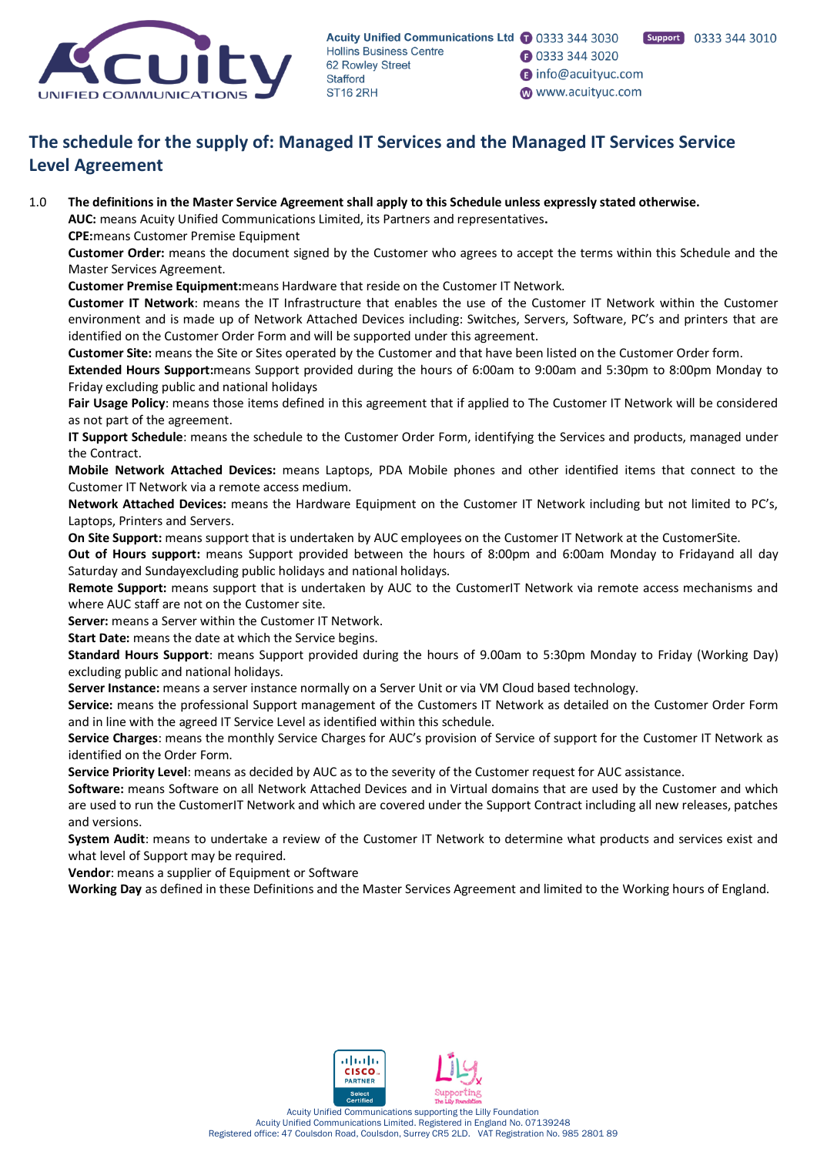

**1** 0333 344 3020

nifo@acuityuc.com

www.acuityuc.com

# **The schedule for the supply of: Managed IT Services and the Managed IT Services Service Level Agreement**

1.0 **The definitions in the Master Service Agreement shall apply to this Schedule unless expressly stated otherwise.**

**AUC:** means Acuity Unified Communications Limited, its Partners and representatives**.**

**CPE:**means Customer Premise Equipment

**Customer Order:** means the document signed by the Customer who agrees to accept the terms within this Schedule and the Master Services Agreement.

**Customer Premise Equipment:**means Hardware that reside on the Customer IT Network.

**Customer IT Network**: means the IT Infrastructure that enables the use of the Customer IT Network within the Customer environment and is made up of Network Attached Devices including: Switches, Servers, Software, PC's and printers that are identified on the Customer Order Form and will be supported under this agreement.

**Customer Site:** means the Site or Sites operated by the Customer and that have been listed on the Customer Order form.

**Extended Hours Support:**means Support provided during the hours of 6:00am to 9:00am and 5:30pm to 8:00pm Monday to Friday excluding public and national holidays

**Fair Usage Policy**: means those items defined in this agreement that if applied to The Customer IT Network will be considered as not part of the agreement.

**IT Support Schedule**: means the schedule to the Customer Order Form, identifying the Services and products, managed under the Contract.

**Mobile Network Attached Devices:** means Laptops, PDA Mobile phones and other identified items that connect to the Customer IT Network via a remote access medium.

**Network Attached Devices:** means the Hardware Equipment on the Customer IT Network including but not limited to PC's, Laptops, Printers and Servers.

**On Site Support:** means support that is undertaken by AUC employees on the Customer IT Network at the CustomerSite.

**Out of Hours support:** means Support provided between the hours of 8:00pm and 6:00am Monday to Fridayand all day Saturday and Sundayexcluding public holidays and national holidays.

**Remote Support:** means support that is undertaken by AUC to the CustomerIT Network via remote access mechanisms and where AUC staff are not on the Customer site.

**Server:** means a Server within the Customer IT Network.

**Start Date:** means the date at which the Service begins.

**Standard Hours Support**: means Support provided during the hours of 9.00am to 5:30pm Monday to Friday (Working Day) excluding public and national holidays.

**Server Instance:** means a server instance normally on a Server Unit or via VM Cloud based technology.

**Service:** means the professional Support management of the Customers IT Network as detailed on the Customer Order Form and in line with the agreed IT Service Level as identified within this schedule.

**Service Charges**: means the monthly Service Charges for AUC's provision of Service of support for the Customer IT Network as identified on the Order Form.

**Service Priority Level**: means as decided by AUC as to the severity of the Customer request for AUC assistance.

**Software:** means Software on all Network Attached Devices and in Virtual domains that are used by the Customer and which are used to run the CustomerIT Network and which are covered under the Support Contract including all new releases, patches and versions.

**System Audit**: means to undertake a review of the Customer IT Network to determine what products and services exist and what level of Support may be required.

**Vendor**: means a supplier of Equipment or Software

**Working Day** as defined in these Definitions and the Master Services Agreement and limited to the Working hours of England.

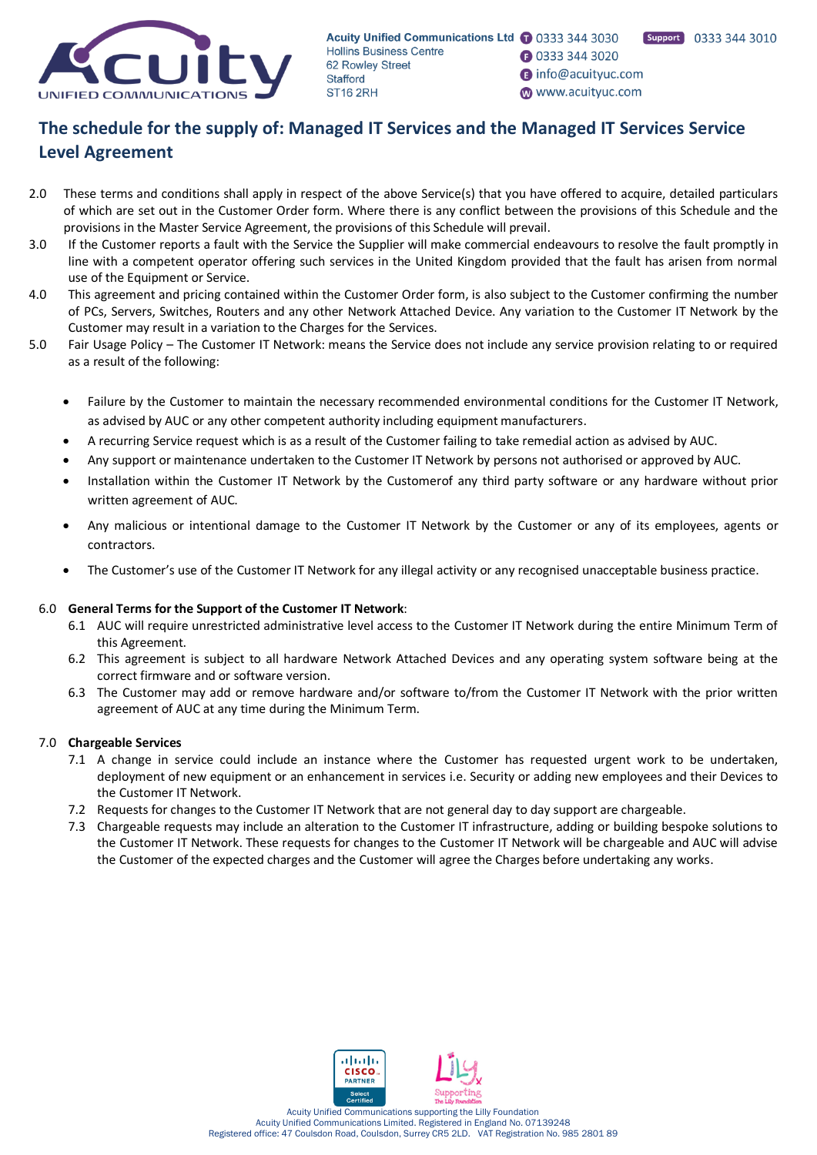

- **0333 344 3020**
- nfo@acuityuc.com
- www.acuityuc.com

# **The schedule for the supply of: Managed IT Services and the Managed IT Services Service Level Agreement**

- 2.0 These terms and conditions shall apply in respect of the above Service(s) that you have offered to acquire, detailed particulars of which are set out in the Customer Order form. Where there is any conflict between the provisions of this Schedule and the provisions in the Master Service Agreement, the provisions of this Schedule will prevail.
- 3.0 If the Customer reports a fault with the Service the Supplier will make commercial endeavours to resolve the fault promptly in line with a competent operator offering such services in the United Kingdom provided that the fault has arisen from normal use of the Equipment or Service.
- 4.0 This agreement and pricing contained within the Customer Order form, is also subject to the Customer confirming the number of PCs, Servers, Switches, Routers and any other Network Attached Device. Any variation to the Customer IT Network by the Customer may result in a variation to the Charges for the Services.
- 5.0 Fair Usage Policy The Customer IT Network: means the Service does not include any service provision relating to or required as a result of the following:
	- Failure by the Customer to maintain the necessary recommended environmental conditions for the Customer IT Network, as advised by AUC or any other competent authority including equipment manufacturers.
	- A recurring Service request which is as a result of the Customer failing to take remedial action as advised by AUC.
	- Any support or maintenance undertaken to the Customer IT Network by persons not authorised or approved by AUC.
	- Installation within the Customer IT Network by the Customerof any third party software or any hardware without prior written agreement of AUC.
	- Any malicious or intentional damage to the Customer IT Network by the Customer or any of its employees, agents or contractors.
	- The Customer's use of the Customer IT Network for any illegal activity or any recognised unacceptable business practice.

### 6.0 **General Terms for the Support of the Customer IT Network**:

- 6.1 AUC will require unrestricted administrative level access to the Customer IT Network during the entire Minimum Term of this Agreement.
- 6.2 This agreement is subject to all hardware Network Attached Devices and any operating system software being at the correct firmware and or software version.
- 6.3 The Customer may add or remove hardware and/or software to/from the Customer IT Network with the prior written agreement of AUC at any time during the Minimum Term.

### 7.0 **Chargeable Services**

- 7.1 A change in service could include an instance where the Customer has requested urgent work to be undertaken, deployment of new equipment or an enhancement in services i.e. Security or adding new employees and their Devices to the Customer IT Network.
- 7.2 Requests for changes to the Customer IT Network that are not general day to day support are chargeable.
- 7.3 Chargeable requests may include an alteration to the Customer IT infrastructure, adding or building bespoke solutions to the Customer IT Network. These requests for changes to the Customer IT Network will be chargeable and AUC will advise the Customer of the expected charges and the Customer will agree the Charges before undertaking any works.

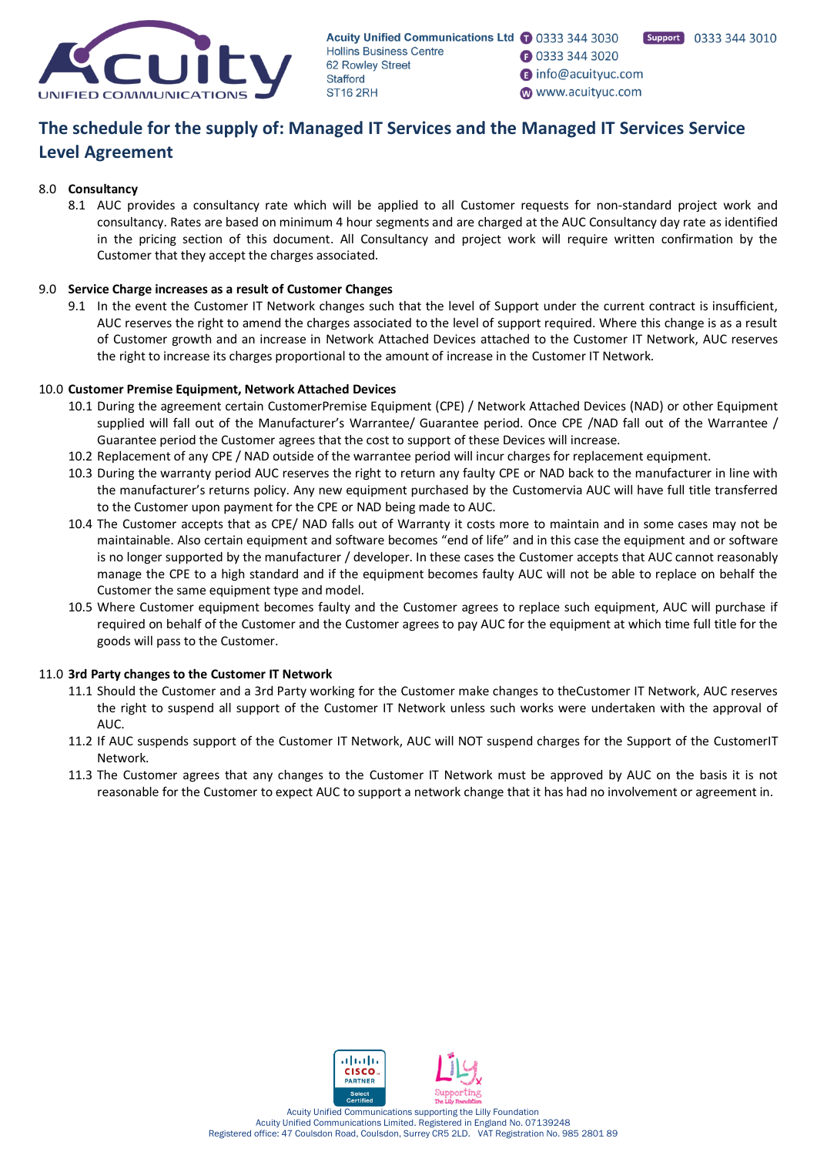

# **1** 0333 344 3020

nfo@acuityuc.com

www.acuityuc.com

# **The schedule for the supply of: Managed IT Services and the Managed IT Services Service Level Agreement**

## 8.0 **Consultancy**

8.1 AUC provides a consultancy rate which will be applied to all Customer requests for non-standard project work and consultancy. Rates are based on minimum 4 hour segments and are charged at the AUC Consultancy day rate as identified in the pricing section of this document. All Consultancy and project work will require written confirmation by the Customer that they accept the charges associated.

# 9.0 **Service Charge increases as a result of Customer Changes**

9.1 In the event the Customer IT Network changes such that the level of Support under the current contract is insufficient, AUC reserves the right to amend the charges associated to the level of support required. Where this change is as a result of Customer growth and an increase in Network Attached Devices attached to the Customer IT Network, AUC reserves the right to increase its charges proportional to the amount of increase in the Customer IT Network.

# 10.0 **Customer Premise Equipment, Network Attached Devices**

- 10.1 During the agreement certain CustomerPremise Equipment (CPE) / Network Attached Devices (NAD) or other Equipment supplied will fall out of the Manufacturer's Warrantee/ Guarantee period. Once CPE /NAD fall out of the Warrantee / Guarantee period the Customer agrees that the cost to support of these Devices will increase.
- 10.2 Replacement of any CPE / NAD outside of the warrantee period will incur charges for replacement equipment.
- 10.3 During the warranty period AUC reserves the right to return any faulty CPE or NAD back to the manufacturer in line with the manufacturer's returns policy. Any new equipment purchased by the Customervia AUC will have full title transferred to the Customer upon payment for the CPE or NAD being made to AUC.
- 10.4 The Customer accepts that as CPE/ NAD falls out of Warranty it costs more to maintain and in some cases may not be maintainable. Also certain equipment and software becomes "end of life" and in this case the equipment and or software is no longer supported by the manufacturer / developer. In these cases the Customer accepts that AUC cannot reasonably manage the CPE to a high standard and if the equipment becomes faulty AUC will not be able to replace on behalf the Customer the same equipment type and model.
- 10.5 Where Customer equipment becomes faulty and the Customer agrees to replace such equipment, AUC will purchase if required on behalf of the Customer and the Customer agrees to pay AUC for the equipment at which time full title for the goods will pass to the Customer.

# 11.0 **3rd Party changes to the Customer IT Network**

- 11.1 Should the Customer and a 3rd Party working for the Customer make changes to theCustomer IT Network, AUC reserves the right to suspend all support of the Customer IT Network unless such works were undertaken with the approval of AUC.
- 11.2 If AUC suspends support of the Customer IT Network, AUC will NOT suspend charges for the Support of the CustomerIT Network.
- 11.3 The Customer agrees that any changes to the Customer IT Network must be approved by AUC on the basis it is not reasonable for the Customer to expect AUC to support a network change that it has had no involvement or agreement in.

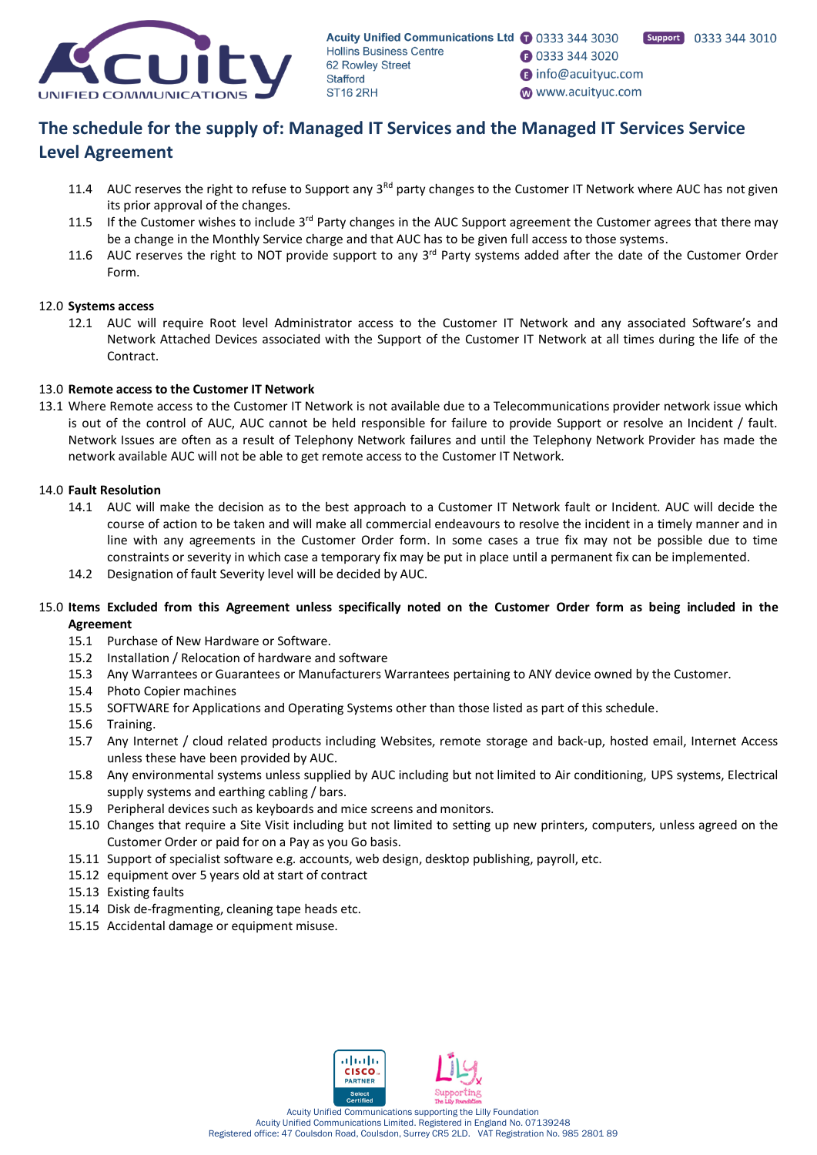

- **1** 0333 344 3020
- nfo@acuityuc.com
- www.acuityuc.com

# **The schedule for the supply of: Managed IT Services and the Managed IT Services Service Level Agreement**

- 11.4 AUC reserves the right to refuse to Support any  $3^{Rd}$  party changes to the Customer IT Network where AUC has not given its prior approval of the changes.
- 11.5 If the Customer wishes to include  $3^{rd}$  Party changes in the AUC Support agreement the Customer agrees that there may be a change in the Monthly Service charge and that AUC has to be given full access to those systems.
- 11.6 AUC reserves the right to NOT provide support to any  $3^{rd}$  Party systems added after the date of the Customer Order Form.

# 12.0 **Systems access**

12.1 AUC will require Root level Administrator access to the Customer IT Network and any associated Software's and Network Attached Devices associated with the Support of the Customer IT Network at all times during the life of the Contract.

# 13.0 **Remote access to the Customer IT Network**

13.1 Where Remote access to the Customer IT Network is not available due to a Telecommunications provider network issue which is out of the control of AUC, AUC cannot be held responsible for failure to provide Support or resolve an Incident / fault. Network Issues are often as a result of Telephony Network failures and until the Telephony Network Provider has made the network available AUC will not be able to get remote access to the Customer IT Network.

### 14.0 **Fault Resolution**

- 14.1 AUC will make the decision as to the best approach to a Customer IT Network fault or Incident. AUC will decide the course of action to be taken and will make all commercial endeavours to resolve the incident in a timely manner and in line with any agreements in the Customer Order form. In some cases a true fix may not be possible due to time constraints or severity in which case a temporary fix may be put in place until a permanent fix can be implemented.
- 14.2 Designation of fault Severity level will be decided by AUC.

# 15.0 **Items Excluded from this Agreement unless specifically noted on the Customer Order form as being included in the Agreement**

- 15.1 Purchase of New Hardware or Software.
- 15.2 Installation / Relocation of hardware and software
- 15.3 Any Warrantees or Guarantees or Manufacturers Warrantees pertaining to ANY device owned by the Customer.
- 15.4 Photo Copier machines
- 15.5 SOFTWARE for Applications and Operating Systems other than those listed as part of this schedule.
- 15.6 Training.
- 15.7 Any Internet / cloud related products including Websites, remote storage and back-up, hosted email, Internet Access unless these have been provided by AUC.
- 15.8 Any environmental systems unless supplied by AUC including but not limited to Air conditioning, UPS systems, Electrical supply systems and earthing cabling / bars.
- 15.9 Peripheral devices such as keyboards and mice screens and monitors.
- 15.10 Changes that require a Site Visit including but not limited to setting up new printers, computers, unless agreed on the Customer Order or paid for on a Pay as you Go basis.
- 15.11 Support of specialist software e.g. accounts, web design, desktop publishing, payroll, etc.
- 15.12 equipment over 5 years old at start of contract
- 15.13 Existing faults
- 15.14 Disk de-fragmenting, cleaning tape heads etc.
- 15.15 Accidental damage or equipment misuse.

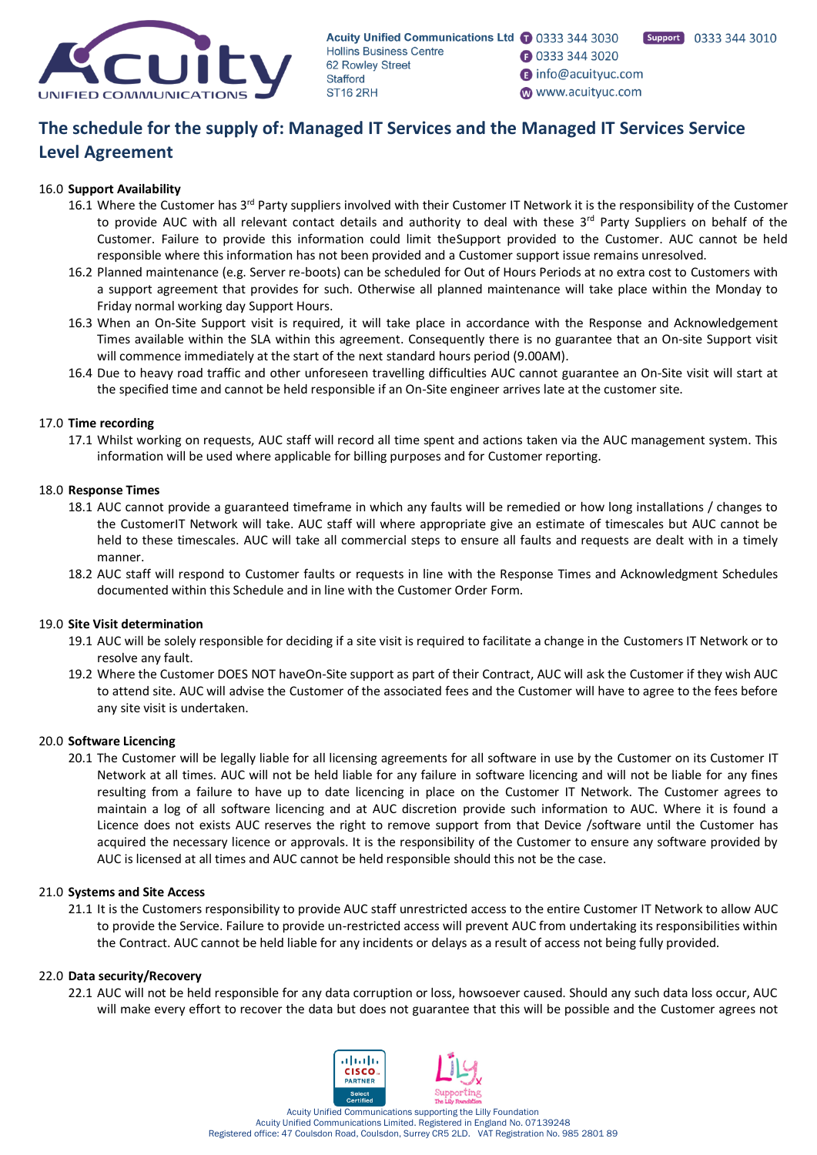

- **1** 0333 344 3020
- nfo@acuityuc.com
- www.acuityuc.com

# **The schedule for the supply of: Managed IT Services and the Managed IT Services Service Level Agreement**

# 16.0 **Support Availability**

- 16.1 Where the Customer has 3<sup>rd</sup> Party suppliers involved with their Customer IT Network it is the responsibility of the Customer to provide AUC with all relevant contact details and authority to deal with these  $3<sup>rd</sup>$  Party Suppliers on behalf of the Customer. Failure to provide this information could limit theSupport provided to the Customer. AUC cannot be held responsible where this information has not been provided and a Customer support issue remains unresolved.
- 16.2 Planned maintenance (e.g. Server re-boots) can be scheduled for Out of Hours Periods at no extra cost to Customers with a support agreement that provides for such. Otherwise all planned maintenance will take place within the Monday to Friday normal working day Support Hours.
- 16.3 When an On-Site Support visit is required, it will take place in accordance with the Response and Acknowledgement Times available within the SLA within this agreement. Consequently there is no guarantee that an On-site Support visit will commence immediately at the start of the next standard hours period (9.00AM).
- 16.4 Due to heavy road traffic and other unforeseen travelling difficulties AUC cannot guarantee an On-Site visit will start at the specified time and cannot be held responsible if an On-Site engineer arrives late at the customer site.

# 17.0 **Time recording**

17.1 Whilst working on requests, AUC staff will record all time spent and actions taken via the AUC management system. This information will be used where applicable for billing purposes and for Customer reporting.

# 18.0 **Response Times**

- 18.1 AUC cannot provide a guaranteed timeframe in which any faults will be remedied or how long installations / changes to the CustomerIT Network will take. AUC staff will where appropriate give an estimate of timescales but AUC cannot be held to these timescales. AUC will take all commercial steps to ensure all faults and requests are dealt with in a timely manner.
- 18.2 AUC staff will respond to Customer faults or requests in line with the Response Times and Acknowledgment Schedules documented within this Schedule and in line with the Customer Order Form.

## 19.0 **Site Visit determination**

- 19.1 AUC will be solely responsible for deciding if a site visit is required to facilitate a change in the Customers IT Network or to resolve any fault.
- 19.2 Where the Customer DOES NOT haveOn-Site support as part of their Contract, AUC will ask the Customer if they wish AUC to attend site. AUC will advise the Customer of the associated fees and the Customer will have to agree to the fees before any site visit is undertaken.

### 20.0 **Software Licencing**

20.1 The Customer will be legally liable for all licensing agreements for all software in use by the Customer on its Customer IT Network at all times. AUC will not be held liable for any failure in software licencing and will not be liable for any fines resulting from a failure to have up to date licencing in place on the Customer IT Network. The Customer agrees to maintain a log of all software licencing and at AUC discretion provide such information to AUC. Where it is found a Licence does not exists AUC reserves the right to remove support from that Device /software until the Customer has acquired the necessary licence or approvals. It is the responsibility of the Customer to ensure any software provided by AUC is licensed at all times and AUC cannot be held responsible should this not be the case.

### 21.0 **Systems and Site Access**

21.1 It is the Customers responsibility to provide AUC staff unrestricted access to the entire Customer IT Network to allow AUC to provide the Service. Failure to provide un-restricted access will prevent AUC from undertaking its responsibilities within the Contract. AUC cannot be held liable for any incidents or delays as a result of access not being fully provided.

#### 22.0 **Data security/Recovery**

22.1 AUC will not be held responsible for any data corruption or loss, howsoever caused. Should any such data loss occur, AUC will make every effort to recover the data but does not guarantee that this will be possible and the Customer agrees not



Acuity Unified Communications Limited. Registered in England No. 07139248 Registered office: 47 Coulsdon Road, Coulsdon, Surrey CR5 2LD. VAT Registration No. 985 2801 89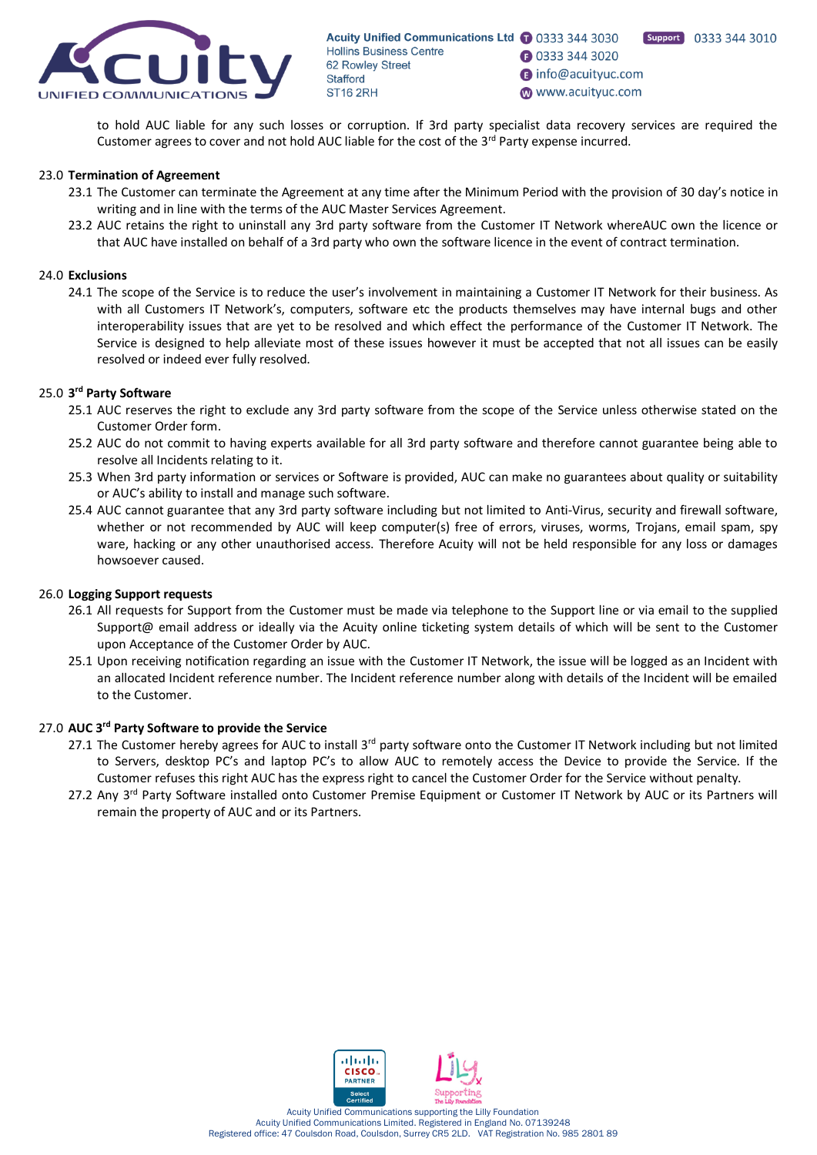

Support 0333 344 3010

**1** 0333 344 3020

nfo@acuityuc.com

www.acuityuc.com

to hold AUC liable for any such losses or corruption. If 3rd party specialist data recovery services are required the Customer agrees to cover and not hold AUC liable for the cost of the 3<sup>rd</sup> Party expense incurred.

#### 23.0 **Termination of Agreement**

- 23.1 The Customer can terminate the Agreement at any time after the Minimum Period with the provision of 30 day's notice in writing and in line with the terms of the AUC Master Services Agreement.
- 23.2 AUC retains the right to uninstall any 3rd party software from the Customer IT Network whereAUC own the licence or that AUC have installed on behalf of a 3rd party who own the software licence in the event of contract termination.

#### 24.0 **Exclusions**

24.1 The scope of the Service is to reduce the user's involvement in maintaining a Customer IT Network for their business. As with all Customers IT Network's, computers, software etc the products themselves may have internal bugs and other interoperability issues that are yet to be resolved and which effect the performance of the Customer IT Network. The Service is designed to help alleviate most of these issues however it must be accepted that not all issues can be easily resolved or indeed ever fully resolved.

### 25.0 **3 rd Party Software**

- 25.1 AUC reserves the right to exclude any 3rd party software from the scope of the Service unless otherwise stated on the Customer Order form.
- 25.2 AUC do not commit to having experts available for all 3rd party software and therefore cannot guarantee being able to resolve all Incidents relating to it.
- 25.3 When 3rd party information or services or Software is provided, AUC can make no guarantees about quality or suitability or AUC's ability to install and manage such software.
- 25.4 AUC cannot guarantee that any 3rd party software including but not limited to Anti-Virus, security and firewall software, whether or not recommended by AUC will keep computer(s) free of errors, viruses, worms, Trojans, email spam, spy ware, hacking or any other unauthorised access. Therefore Acuity will not be held responsible for any loss or damages howsoever caused.

#### 26.0 **Logging Support requests**

- 26.1 All requests for Support from the Customer must be made via telephone to the Support line or via email to the supplied Support@ email address or ideally via the Acuity online ticketing system details of which will be sent to the Customer upon Acceptance of the Customer Order by AUC.
- 25.1 Upon receiving notification regarding an issue with the Customer IT Network, the issue will be logged as an Incident with an allocated Incident reference number. The Incident reference number along with details of the Incident will be emailed to the Customer.

#### 27.0 **AUC 3rd Party Software to provide the Service**

- 27.1 The Customer hereby agrees for AUC to install 3<sup>rd</sup> party software onto the Customer IT Network including but not limited to Servers, desktop PC's and laptop PC's to allow AUC to remotely access the Device to provide the Service. If the Customer refuses this right AUC has the express right to cancel the Customer Order for the Service without penalty.
- 27.2 Any 3<sup>rd</sup> Party Software installed onto Customer Premise Equipment or Customer IT Network by AUC or its Partners will remain the property of AUC and or its Partners.

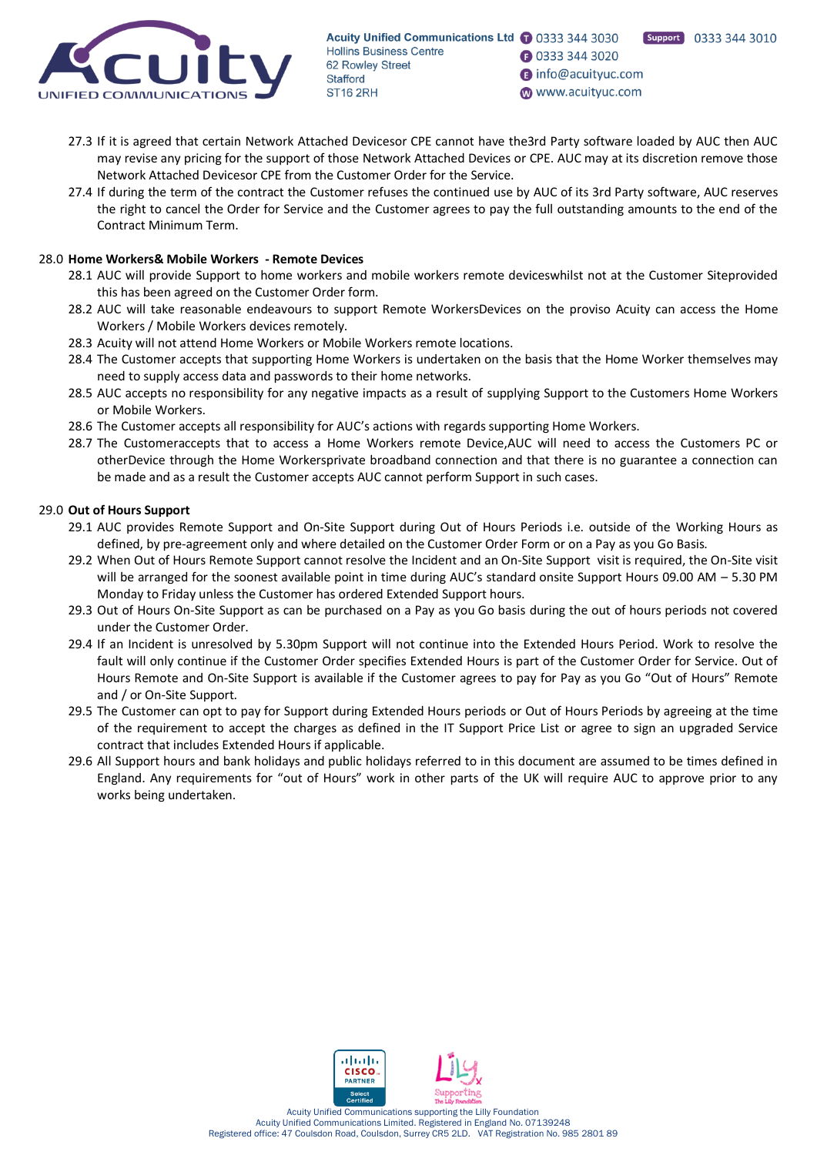

Support 0333 344 3010

**1** 0333 344 3020

nifo@acuityuc.com

www.acuityuc.com

- 27.3 If it is agreed that certain Network Attached Devicesor CPE cannot have the3rd Party software loaded by AUC then AUC may revise any pricing for the support of those Network Attached Devices or CPE. AUC may at its discretion remove those Network Attached Devicesor CPE from the Customer Order for the Service.
- 27.4 If during the term of the contract the Customer refuses the continued use by AUC of its 3rd Party software, AUC reserves the right to cancel the Order for Service and the Customer agrees to pay the full outstanding amounts to the end of the Contract Minimum Term.

# 28.0 **Home Workers& Mobile Workers - Remote Devices**

- 28.1 AUC will provide Support to home workers and mobile workers remote deviceswhilst not at the Customer Siteprovided this has been agreed on the Customer Order form.
- 28.2 AUC will take reasonable endeavours to support Remote WorkersDevices on the proviso Acuity can access the Home Workers / Mobile Workers devices remotely.
- 28.3 Acuity will not attend Home Workers or Mobile Workers remote locations.
- 28.4 The Customer accepts that supporting Home Workers is undertaken on the basis that the Home Worker themselves may need to supply access data and passwords to their home networks.
- 28.5 AUC accepts no responsibility for any negative impacts as a result of supplying Support to the Customers Home Workers or Mobile Workers.
- 28.6 The Customer accepts all responsibility for AUC's actions with regards supporting Home Workers.
- 28.7 The Customeraccepts that to access a Home Workers remote Device,AUC will need to access the Customers PC or otherDevice through the Home Workersprivate broadband connection and that there is no guarantee a connection can be made and as a result the Customer accepts AUC cannot perform Support in such cases.

# 29.0 **Out of Hours Support**

- 29.1 AUC provides Remote Support and On-Site Support during Out of Hours Periods i.e. outside of the Working Hours as defined, by pre-agreement only and where detailed on the Customer Order Form or on a Pay as you Go Basis.
- 29.2 When Out of Hours Remote Support cannot resolve the Incident and an On-Site Support visit is required, the On-Site visit will be arranged for the soonest available point in time during AUC's standard onsite Support Hours 09.00 AM - 5.30 PM Monday to Friday unless the Customer has ordered Extended Support hours.
- 29.3 Out of Hours On-Site Support as can be purchased on a Pay as you Go basis during the out of hours periods not covered under the Customer Order.
- 29.4 If an Incident is unresolved by 5.30pm Support will not continue into the Extended Hours Period. Work to resolve the fault will only continue if the Customer Order specifies Extended Hours is part of the Customer Order for Service. Out of Hours Remote and On-Site Support is available if the Customer agrees to pay for Pay as you Go "Out of Hours" Remote and / or On-Site Support.
- 29.5 The Customer can opt to pay for Support during Extended Hours periods or Out of Hours Periods by agreeing at the time of the requirement to accept the charges as defined in the IT Support Price List or agree to sign an upgraded Service contract that includes Extended Hours if applicable.
- 29.6 All Support hours and bank holidays and public holidays referred to in this document are assumed to be times defined in England. Any requirements for "out of Hours" work in other parts of the UK will require AUC to approve prior to any works being undertaken.

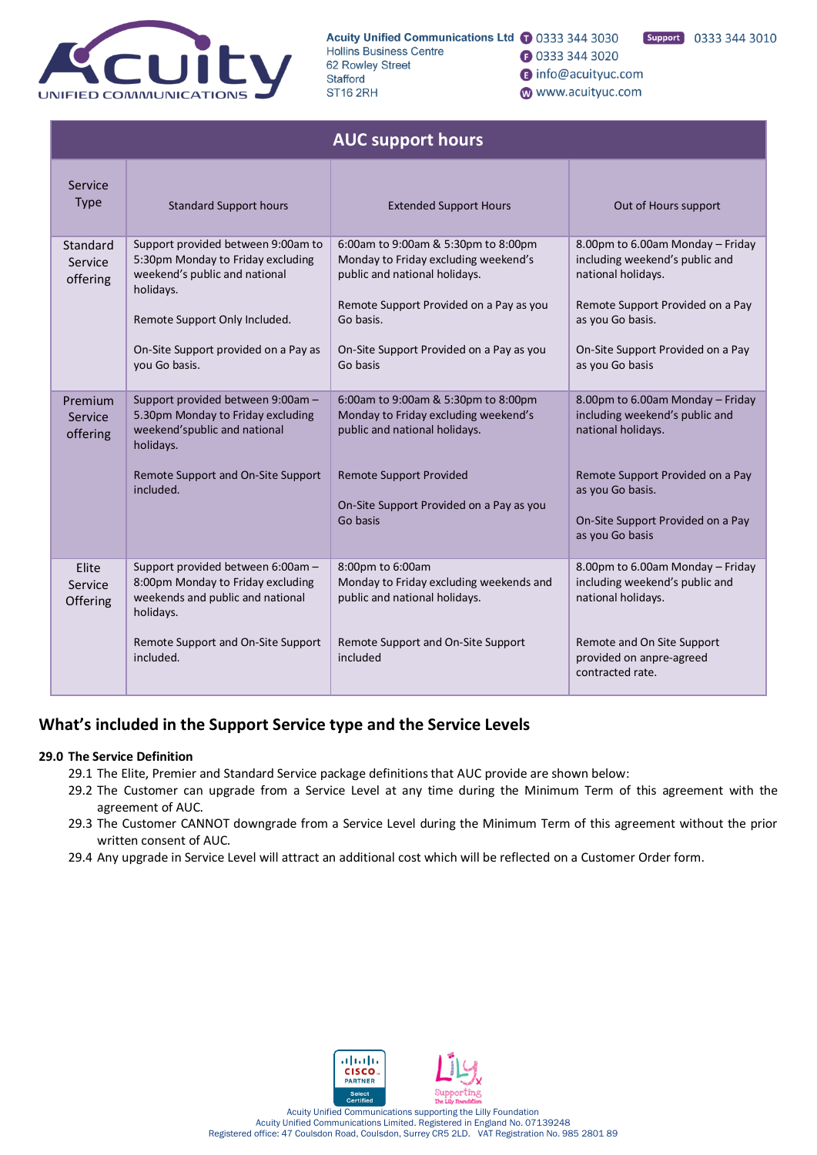

**1** 0333 344 3020

- nfo@acuityuc.com
- www.acuityuc.com

|                                 | <b>AUC support hours</b>                                                                                                                                                                                        |                                                                                                                                                                                                                              |                                                                                                                                                                                                          |  |  |  |  |
|---------------------------------|-----------------------------------------------------------------------------------------------------------------------------------------------------------------------------------------------------------------|------------------------------------------------------------------------------------------------------------------------------------------------------------------------------------------------------------------------------|----------------------------------------------------------------------------------------------------------------------------------------------------------------------------------------------------------|--|--|--|--|
| Service<br><b>Type</b>          | <b>Standard Support hours</b>                                                                                                                                                                                   | <b>Extended Support Hours</b>                                                                                                                                                                                                | Out of Hours support                                                                                                                                                                                     |  |  |  |  |
| Standard<br>Service<br>offering | Support provided between 9:00am to<br>5:30pm Monday to Friday excluding<br>weekend's public and national<br>holidays.<br>Remote Support Only Included.<br>On-Site Support provided on a Pay as<br>you Go basis. | 6:00am to 9:00am & 5:30pm to 8:00pm<br>Monday to Friday excluding weekend's<br>public and national holidays.<br>Remote Support Provided on a Pay as you<br>Go basis.<br>On-Site Support Provided on a Pay as you<br>Go basis | 8.00pm to 6.00am Monday - Friday<br>including weekend's public and<br>national holidays.<br>Remote Support Provided on a Pay<br>as you Go basis.<br>On-Site Support Provided on a Pay<br>as you Go basis |  |  |  |  |
| Premium<br>Service<br>offering  | Support provided between 9:00am -<br>5.30pm Monday to Friday excluding<br>weekend'spublic and national<br>holidays.<br>Remote Support and On-Site Support<br>included.                                          | 6:00am to 9:00am & 5:30pm to 8:00pm<br>Monday to Friday excluding weekend's<br>public and national holidays.<br><b>Remote Support Provided</b><br>On-Site Support Provided on a Pay as you<br>Go basis                       | 8.00pm to 6.00am Monday - Friday<br>including weekend's public and<br>national holidays.<br>Remote Support Provided on a Pay<br>as you Go basis.<br>On-Site Support Provided on a Pay<br>as you Go basis |  |  |  |  |
| Elite<br>Service<br>Offering    | Support provided between 6:00am -<br>8:00pm Monday to Friday excluding<br>weekends and public and national<br>holidays.<br>Remote Support and On-Site Support<br>included.                                      | 8:00pm to 6:00am<br>Monday to Friday excluding weekends and<br>public and national holidays.<br>Remote Support and On-Site Support<br>included                                                                               | 8.00pm to 6.00am Monday - Friday<br>including weekend's public and<br>national holidays.<br>Remote and On Site Support<br>provided on anpre-agreed<br>contracted rate.                                   |  |  |  |  |

# **What's included in the Support Service type and the Service Levels**

# **29.0 The Service Definition**

- 29.1 The Elite, Premier and Standard Service package definitions that AUC provide are shown below:
- 29.2 The Customer can upgrade from a Service Level at any time during the Minimum Term of this agreement with the agreement of AUC.
- 29.3 The Customer CANNOT downgrade from a Service Level during the Minimum Term of this agreement without the prior written consent of AUC.
- 29.4 Any upgrade in Service Level will attract an additional cost which will be reflected on a Customer Order form.

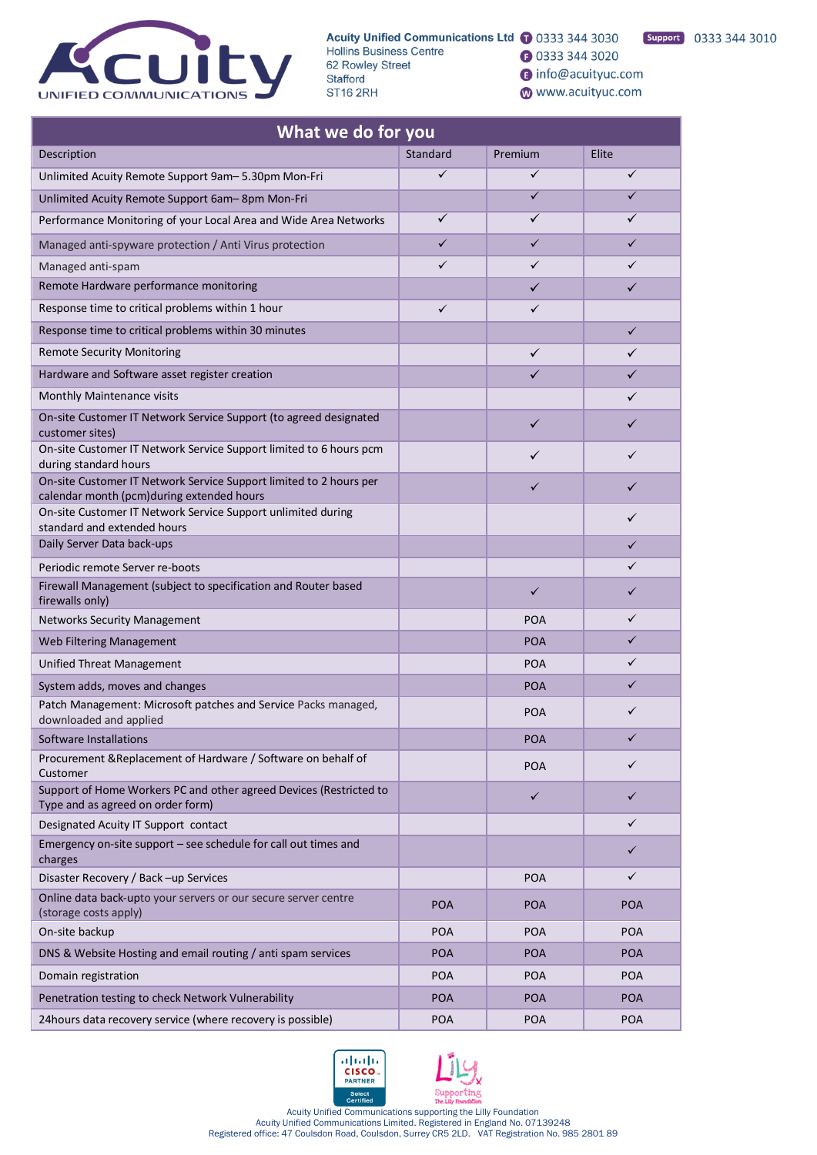

Acuity Unified Communications Ltd 1 0333 344 3030 **Hollins Business Centre** 62 Rowley Street Stafford **ST16 2RH** 

Support 0333 344 3010 **3** 0333 344 3020

nfo@acuityuc.com

www.acuityuc.com

| What we do for you                                                                                              |              |            |              |
|-----------------------------------------------------------------------------------------------------------------|--------------|------------|--------------|
| Description                                                                                                     | Standard     | Premium    | Elite        |
| Unlimited Acuity Remote Support 9am-5.30pm Mon-Fri                                                              | $\checkmark$ | ✓          | $\checkmark$ |
| Unlimited Acuity Remote Support 6am-8pm Mon-Fri                                                                 |              | ✓          | ✓            |
| Performance Monitoring of your Local Area and Wide Area Networks                                                | ✓            | ✓          | ✓            |
| Managed anti-spyware protection / Anti Virus protection                                                         | $\checkmark$ | ✓          | ✓            |
| Managed anti-spam                                                                                               | ✓            | ✓          | $\checkmark$ |
| Remote Hardware performance monitoring                                                                          |              | ✓          | ✓            |
| Response time to critical problems within 1 hour                                                                | $\checkmark$ | ✓          |              |
| Response time to critical problems within 30 minutes                                                            |              |            | $\checkmark$ |
| <b>Remote Security Monitoring</b>                                                                               |              | ✓          | ✓            |
| Hardware and Software asset register creation                                                                   |              | ✓          | ✓            |
| Monthly Maintenance visits                                                                                      |              |            | ✓            |
| On-site Customer IT Network Service Support (to agreed designated<br>customer sites)                            |              | ✓          | ✓            |
| On-site Customer IT Network Service Support limited to 6 hours pcm<br>during standard hours                     |              | ✓          | ✓            |
| On-site Customer IT Network Service Support limited to 2 hours per<br>calendar month (pcm)during extended hours |              | ✓          | ✓            |
| On-site Customer IT Network Service Support unlimited during<br>standard and extended hours                     |              |            | ✓            |
| Daily Server Data back-ups                                                                                      |              |            | $\checkmark$ |
| Periodic remote Server re-boots                                                                                 |              |            | ✓            |
| Firewall Management (subject to specification and Router based<br>firewalls only)                               |              | ✓          | ✓            |
| <b>Networks Security Management</b>                                                                             |              | <b>POA</b> | ✓            |
| Web Filtering Management                                                                                        |              | <b>POA</b> | ✓            |
| Unified Threat Management                                                                                       |              | <b>POA</b> | ✓            |
| System adds, moves and changes                                                                                  |              | <b>POA</b> | ✓            |
| Patch Management: Microsoft patches and Service Packs managed,<br>downloaded and applied                        |              | <b>POA</b> | ✓            |
| Software Installations                                                                                          |              | <b>POA</b> | ✓            |
| Procurement & Replacement of Hardware / Software on behalf of<br>Customer                                       |              | <b>POA</b> | ✓            |
| Support of Home Workers PC and other agreed Devices (Restricted to<br>Type and as agreed on order form)         |              | ✓          | ✓            |
| Designated Acuity IT Support contact                                                                            |              |            | ✓            |
| Emergency on-site support - see schedule for call out times and<br>charges                                      |              |            | ✓            |
| Disaster Recovery / Back -up Services                                                                           |              | <b>POA</b> | ✓            |
| Online data back-upto your servers or our secure server centre<br>(storage costs apply)                         | <b>POA</b>   | <b>POA</b> | <b>POA</b>   |
| On site hackup                                                                                                  | DAA          | DA         | DA           |





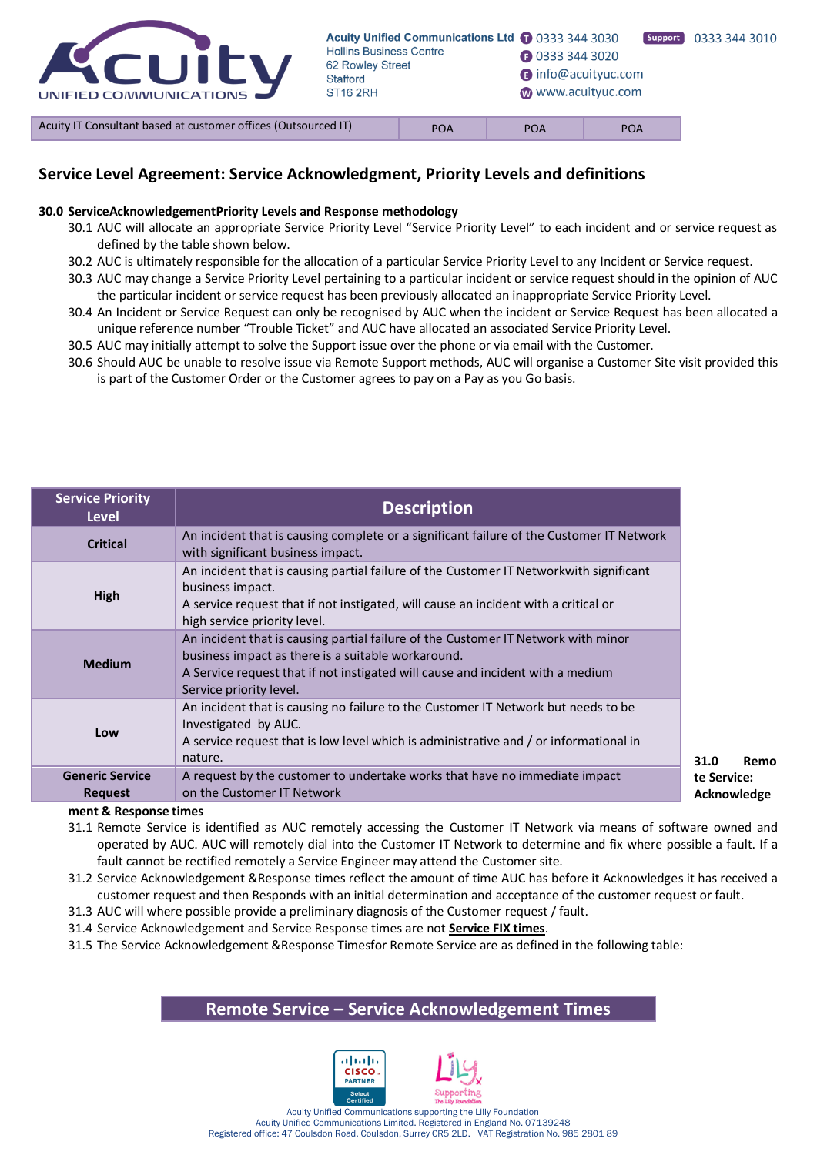

**31.0 Remo**

# **Service Level Agreement: Service Acknowledgment, Priority Levels and definitions**

#### **30.0 ServiceAcknowledgementPriority Levels and Response methodology**

- 30.1 AUC will allocate an appropriate Service Priority Level "Service Priority Level" to each incident and or service request as defined by the table shown below.
- 30.2 AUC is ultimately responsible for the allocation of a particular Service Priority Level to any Incident or Service request.
- 30.3 AUC may change a Service Priority Level pertaining to a particular incident or service request should in the opinion of AUC the particular incident or service request has been previously allocated an inappropriate Service Priority Level.
- 30.4 An Incident or Service Request can only be recognised by AUC when the incident or Service Request has been allocated a unique reference number "Trouble Ticket" and AUC have allocated an associated Service Priority Level.
- 30.5 AUC may initially attempt to solve the Support issue over the phone or via email with the Customer.
- 30.6 Should AUC be unable to resolve issue via Remote Support methods, AUC will organise a Customer Site visit provided this is part of the Customer Order or the Customer agrees to pay on a Pay as you Go basis.

| <b>Service Priority</b><br><b>Level</b>  | <b>Description</b>                                                                                                                                                                                                                                   |
|------------------------------------------|------------------------------------------------------------------------------------------------------------------------------------------------------------------------------------------------------------------------------------------------------|
| <b>Critical</b>                          | An incident that is causing complete or a significant failure of the Customer IT Network<br>with significant business impact.                                                                                                                        |
| High                                     | An incident that is causing partial failure of the Customer IT Networkwith significant<br>business impact.<br>A service request that if not instigated, will cause an incident with a critical or<br>high service priority level.                    |
| <b>Medium</b>                            | An incident that is causing partial failure of the Customer IT Network with minor<br>business impact as there is a suitable workaround.<br>A Service request that if not instigated will cause and incident with a medium<br>Service priority level. |
| Low                                      | An incident that is causing no failure to the Customer IT Network but needs to be<br>Investigated by AUC.<br>A service request that is low level which is administrative and / or informational in<br>nature.                                        |
| <b>Generic Service</b><br><b>Request</b> | A request by the customer to undertake works that have no immediate impact<br>on the Customer IT Network                                                                                                                                             |

**ment & Response times**

31.1 Remote Service is identified as AUC remotely accessing the Customer IT Network via means of software owned and operated by AUC. AUC will remotely dial into the Customer IT Network to determine and fix where possible a fault. If a fault cannot be rectified remotely a Service Engineer may attend the Customer site.

- 31.2 Service Acknowledgement &Response times reflect the amount of time AUC has before it Acknowledges it has received a customer request and then Responds with an initial determination and acceptance of the customer request or fault.
- 31.3 AUC will where possible provide a preliminary diagnosis of the Customer request / fault.
- 31.4 Service Acknowledgement and Service Response times are not **Service FIX times**.
- 31.5 The Service Acknowledgement &Response Timesfor Remote Service are as defined in the following table:

# **Remote Service – Service Acknowledgement Times**

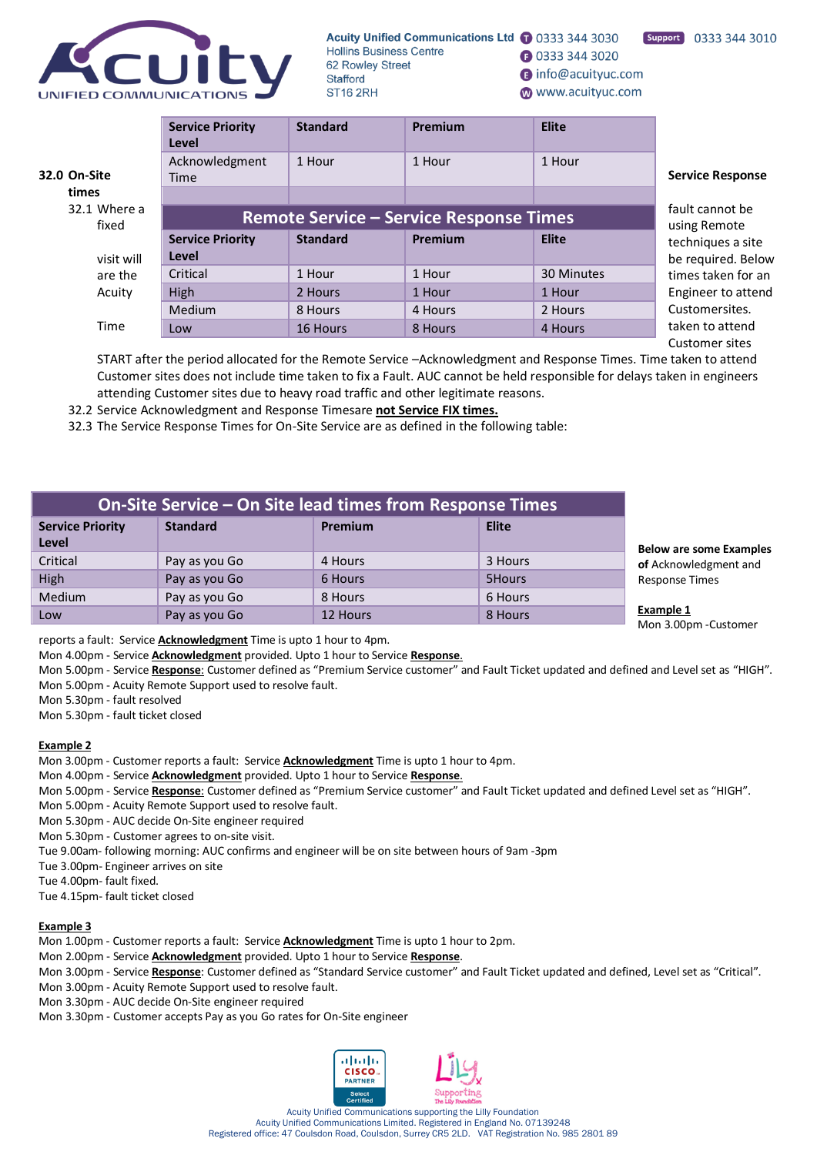

- **1** 0333 344 3020
- nifo@acuityuc.com
- www.acuityuc.com

|                       | <b>Service Priority</b><br>Level               | <b>Standard</b>                 | Premium | <b>Elite</b> |                         |
|-----------------------|------------------------------------------------|---------------------------------|---------|--------------|-------------------------|
| 32.0 On-Site          | Acknowledgment<br><b>Time</b>                  | 1 Hour                          | 1 Hour  | 1 Hour       | <b>Service Response</b> |
| times                 |                                                |                                 |         |              |                         |
| 32.1 Where a<br>fixed | <b>Remote Service - Service Response Times</b> | fault cannot be<br>using Remote |         |              |                         |
|                       | <b>Service Priority</b>                        | <b>Standard</b>                 | Premium | <b>Elite</b> | techniques a site       |
| visit will            | Level                                          |                                 |         |              | be required. Below      |
| are the               | Critical                                       | 1 Hour                          | 1 Hour  | 30 Minutes   | times taken for an      |
| Acuity                | High                                           | 2 Hours                         | 1 Hour  | 1 Hour       | Engineer to attend      |
|                       | Medium                                         | 8 Hours                         | 4 Hours | 2 Hours      | Customersites.          |
| Time                  | Low                                            | 16 Hours                        | 8 Hours | 4 Hours      | taken to attend         |
|                       |                                                |                                 |         |              | Customer sites          |

START after the period allocated for the Remote Service –Acknowledgment and Response Times. Time taken to attend Customer sites does not include time taken to fix a Fault. AUC cannot be held responsible for delays taken in engineers attending Customer sites due to heavy road traffic and other legitimate reasons.

32.2 Service Acknowledgment and Response Timesare **not Service FIX times.**

32.3 The Service Response Times for On-Site Service are as defined in the following table:

| On-Site Service - On Site lead times from Response Times |                 |                |              |                                    |  |
|----------------------------------------------------------|-----------------|----------------|--------------|------------------------------------|--|
| <b>Service Priority</b><br><b>Level</b>                  | <b>Standard</b> | <b>Premium</b> | <b>Elite</b> | <b>Below are some</b>              |  |
| Critical                                                 | Pay as you Go   | 4 Hours        | 3 Hours      | of Acknowledgm                     |  |
| High                                                     | Pay as you Go   | 6 Hours        | 5Hours       | <b>Response Times</b>              |  |
| Medium                                                   | Pay as you Go   | 8 Hours        | 6 Hours      |                                    |  |
| Low                                                      | Pay as you Go   | 12 Hours       | 8 Hours      | <b>Example 1</b><br>$Mon 200nm C1$ |  |

reports a fault: Service **Acknowledgment** Time is upto 1 hour to 4pm.

Mon 4.00pm - Service **Acknowledgment** provided. Upto 1 hour to Service **Response**.

Mon 5.00pm - Service **Response**: Customer defined as "Premium Service customer" and Fault Ticket updated and defined and Level set as "HIGH". Mon 5.00pm - Acuity Remote Support used to resolve fault.

Mon 5.30pm - fault resolved

Mon 5.30pm - fault ticket closed

#### **Example 2**

Mon 3.00pm - Customer reports a fault: Service **Acknowledgment** Time is upto 1 hour to 4pm.

Mon 4.00pm - Service **Acknowledgment** provided. Upto 1 hour to Service **Response**.

Mon 5.00pm - Service **Response**: Customer defined as "Premium Service customer" and Fault Ticket updated and defined Level set as "HIGH".

Mon 5.00pm - Acuity Remote Support used to resolve fault.

Mon 5.30pm - AUC decide On-Site engineer required

Mon 5.30pm - Customer agrees to on-site visit.

Tue 9.00am- following morning: AUC confirms and engineer will be on site between hours of 9am -3pm

Tue 3.00pm- Engineer arrives on site

Tue 4.00pm- fault fixed.

Tue 4.15pm- fault ticket closed

### **Example 3**

- Mon 1.00pm Customer reports a fault: Service **Acknowledgment** Time is upto 1 hour to 2pm.
- Mon 2.00pm Service **Acknowledgment** provided. Upto 1 hour to Service **Response**.

Mon 3.00pm - Service **Response**: Customer defined as "Standard Service customer" and Fault Ticket updated and defined, Level set as "Critical".

Mon 3.00pm - Acuity Remote Support used to resolve fault.

Mon 3.30pm - AUC decide On-Site engineer required

Mon 3.30pm - Customer accepts Pay as you Go rates for On-Site engineer



**Examples ent** and

Mon 3.00pm -Customer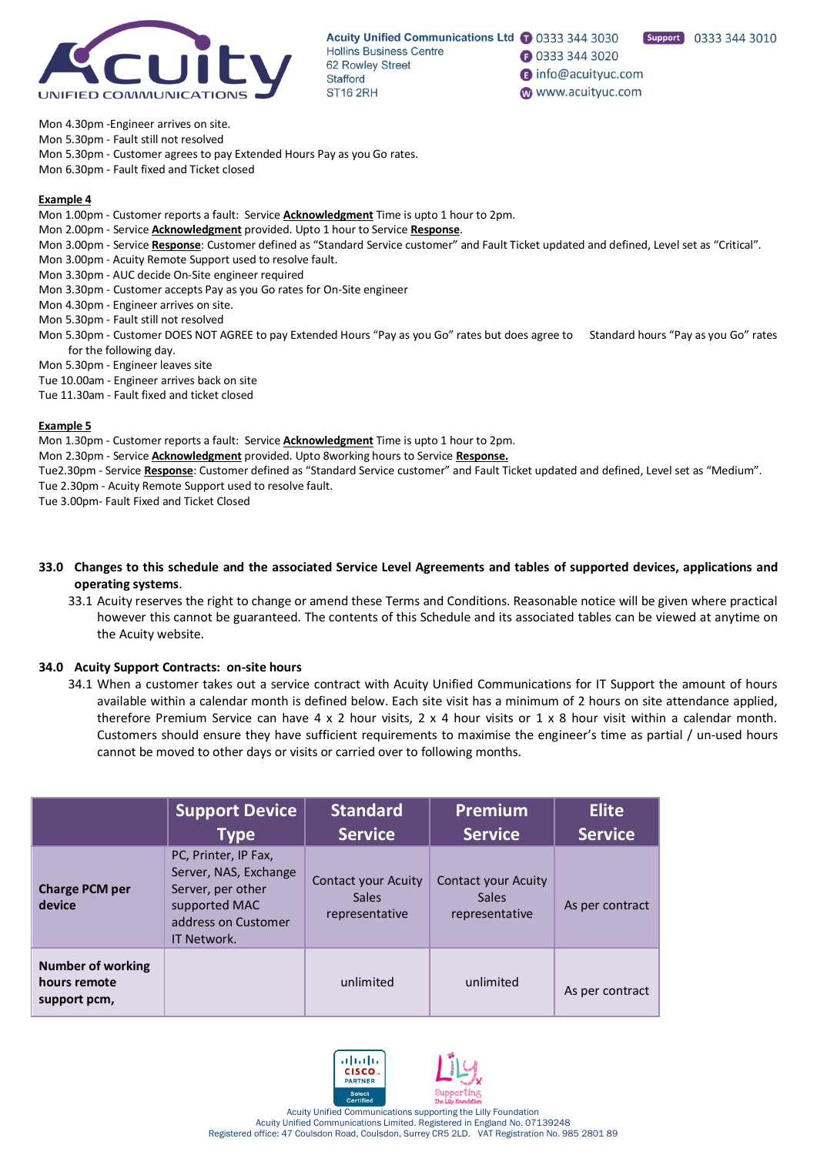

**1** 0333 344 3020

nifo@acuityuc.com

www.acuityuc.com

Support 0333 344 3010

Mon 4.30pm -Engineer arrives on site.

Mon 5.30pm - Fault still not resolved

Mon 5.30pm - Customer agrees to pay Extended Hours Pay as you Go rates.

Mon 6.30pm - Fault fixed and Ticket closed

#### **Example 4**

- Mon 1.00pm Customer reports a fault: Service **Acknowledgment** Time is upto 1 hour to 2pm.
- Mon 2.00pm Service **Acknowledgment** provided. Upto 1 hour to Service **Response**.
- Mon 3.00pm Service **Response**: Customer defined as "Standard Service customer" and Fault Ticket updated and defined, Level set as "Critical".
- Mon 3.00pm Acuity Remote Support used to resolve fault.
- Mon 3.30pm AUC decide On-Site engineer required
- Mon 3.30pm Customer accepts Pay as you Go rates for On-Site engineer
- Mon 4.30pm Engineer arrives on site.
- Mon 5.30pm Fault still not resolved
- Mon 5.30pm Customer DOES NOT AGREE to pay Extended Hours "Pay as you Go" rates but does agree to Standard hours "Pay as you Go" rates for the following day.
- Mon 5.30pm Engineer leaves site
- Tue 10.00am Engineer arrives back on site
- Tue 11.30am Fault fixed and ticket closed

#### **Example 5**

Mon 1.30pm - Customer reports a fault: Service **Acknowledgment** Time is upto 1 hour to 2pm.

Mon 2.30pm - Service **Acknowledgment** provided. Upto 8working hours to Service **Response.**

- Tue2.30pm Service **Response**: Customer defined as "Standard Service customer" and Fault Ticket updated and defined, Level set as "Medium".
- Tue 2.30pm Acuity Remote Support used to resolve fault.

Tue 3.00pm- Fault Fixed and Ticket Closed

#### **33.0 Changes to this schedule and the associated Service Level Agreements and tables of supported devices, applications and operating systems**.

33.1 Acuity reserves the right to change or amend these Terms and Conditions. Reasonable notice will be given where practical however this cannot be guaranteed. The contents of this Schedule and its associated tables can be viewed at anytime on the Acuity website.

### **34.0 Acuity Support Contracts: on-site hours**

34.1 When a customer takes out a service contract with Acuity Unified Communications for IT Support the amount of hours available within a calendar month is defined below. Each site visit has a minimum of 2 hours on site attendance applied, therefore Premium Service can have  $4 \times 2$  hour visits,  $2 \times 4$  hour visits or  $1 \times 8$  hour visit within a calendar month. Customers should ensure they have sufficient requirements to maximise the engineer's time as partial / un-used hours cannot be moved to other days or visits or carried over to following months.

|                                                          | <b>Support Device</b><br><b>Type</b>                                                                                      | <b>Standard</b><br><b>Service</b>                            | <b>Premium</b><br><b>Service</b>                      | <b>Elite</b><br><b>Service</b> |
|----------------------------------------------------------|---------------------------------------------------------------------------------------------------------------------------|--------------------------------------------------------------|-------------------------------------------------------|--------------------------------|
| <b>Charge PCM per</b><br>device                          | PC, Printer, IP Fax,<br>Server, NAS, Exchange<br>Server, per other<br>supported MAC<br>address on Customer<br>IT Network. | <b>Contact your Acuity</b><br><b>Sales</b><br>representative | Contact your Acuity<br><b>Sales</b><br>representative | As per contract                |
| <b>Number of working</b><br>hours remote<br>support pcm, |                                                                                                                           | unlimited                                                    | unlimited                                             | As per contract                |



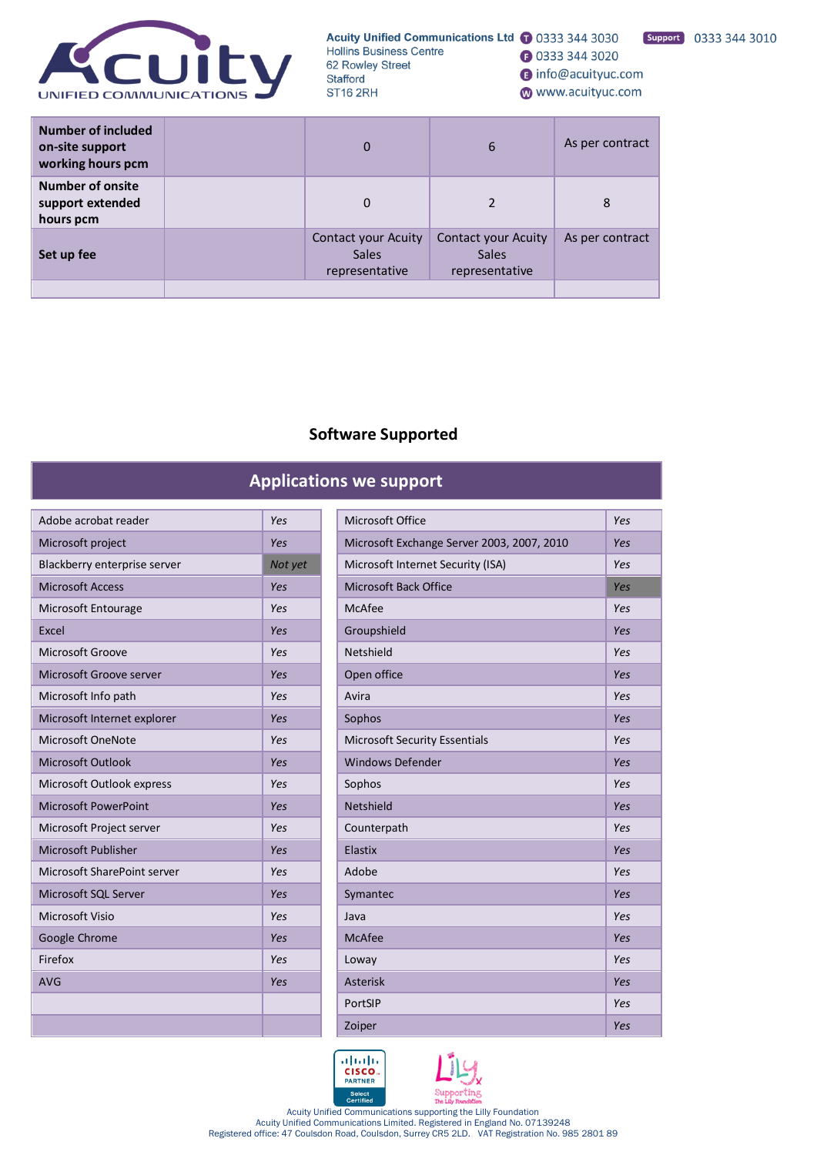

Support 0333 344 3010

nfo@acuityuc.com

www.acuityuc.com

**3** 0333 344 3020

| Number of included<br>on-site support<br>working hours pcm | 0                                                     | 6                                                     | As per contract |
|------------------------------------------------------------|-------------------------------------------------------|-------------------------------------------------------|-----------------|
| <b>Number of onsite</b><br>support extended<br>hours pcm   | 0                                                     |                                                       | 8               |
| Set up fee                                                 | Contact your Acuity<br><b>Sales</b><br>representative | Contact your Acuity<br><b>Sales</b><br>representative | As per contract |
|                                                            |                                                       |                                                       |                 |

# **Software Supported**

# **Applications we support**

| Adobe acrobat reader         | Yes     |
|------------------------------|---------|
| Microsoft project            | Yes     |
| Blackberry enterprise server | Not yet |
| <b>Microsoft Access</b>      | Yes     |
| Microsoft Entourage          | Yes     |
| Excel                        | Yes     |
| Microsoft Groove             | Yes     |
| Microsoft Groove server      | Yes     |
| Microsoft Info path          | Yes     |
| Microsoft Internet explorer  | Yes     |
| Microsoft OneNote            | Yes     |
| Microsoft Outlook            | Yes     |
| Microsoft Outlook express    | Yes     |
| <b>Microsoft PowerPoint</b>  | Yes     |
| Microsoft Project server     | Yes     |
| Microsoft Publisher          | Yes     |
| Microsoft SharePoint server  | Yes     |
| Microsoft SQL Server         | Yes     |
| Microsoft Visio              | Yes     |
| Google Chrome                | Yes     |
| Firefox                      | Yes     |
| <b>AVG</b>                   | Yes     |
|                              |         |
|                              |         |
|                              |         |

| Adobe acrobat reader         | Yes     | Microsoft Office                           | Yes        |
|------------------------------|---------|--------------------------------------------|------------|
| Microsoft project            | Yes     | Microsoft Exchange Server 2003, 2007, 2010 | Yes        |
| Blackberry enterprise server | Not yet | Microsoft Internet Security (ISA)          | Yes        |
| <b>Microsoft Access</b>      | Yes     | Microsoft Back Office                      | <b>Yes</b> |
| Microsoft Entourage          | Yes     | McAfee                                     | Yes        |
| <b>Excel</b>                 | Yes     | Groupshield                                | Yes        |
| Microsoft Groove             | Yes     | Netshield                                  | Yes        |
| Microsoft Groove server      | Yes     | Open office                                | Yes        |
| Microsoft Info path          | Yes     | Avira                                      | Yes        |
| Microsoft Internet explorer  | Yes     | Sophos                                     | Yes        |
| <b>Microsoft OneNote</b>     | Yes     | <b>Microsoft Security Essentials</b>       | Yes        |
| <b>Microsoft Outlook</b>     | Yes     | <b>Windows Defender</b>                    | Yes        |
| Microsoft Outlook express    | Yes     | Sophos                                     | Yes        |
| <b>Microsoft PowerPoint</b>  | Yes     | Netshield                                  | Yes        |
| Microsoft Project server     | Yes     | Counterpath                                | Yes        |
| Microsoft Publisher          | Yes     | Elastix                                    | Yes        |
| Microsoft SharePoint server  | Yes     | Adobe                                      | Yes        |
| Microsoft SQL Server         | Yes     | Symantec                                   | Yes        |
| Microsoft Visio              | Yes     | Java                                       | Yes        |
| Google Chrome                | Yes     | McAfee                                     | Yes        |
| Firefox                      | Yes     | Loway                                      | Yes        |
| <b>AVG</b>                   | Yes     | <b>Asterisk</b>                            | Yes        |
|                              |         | PortSIP                                    | Yes        |
|                              |         | Zoiper                                     | Yes        |
|                              |         |                                            |            |



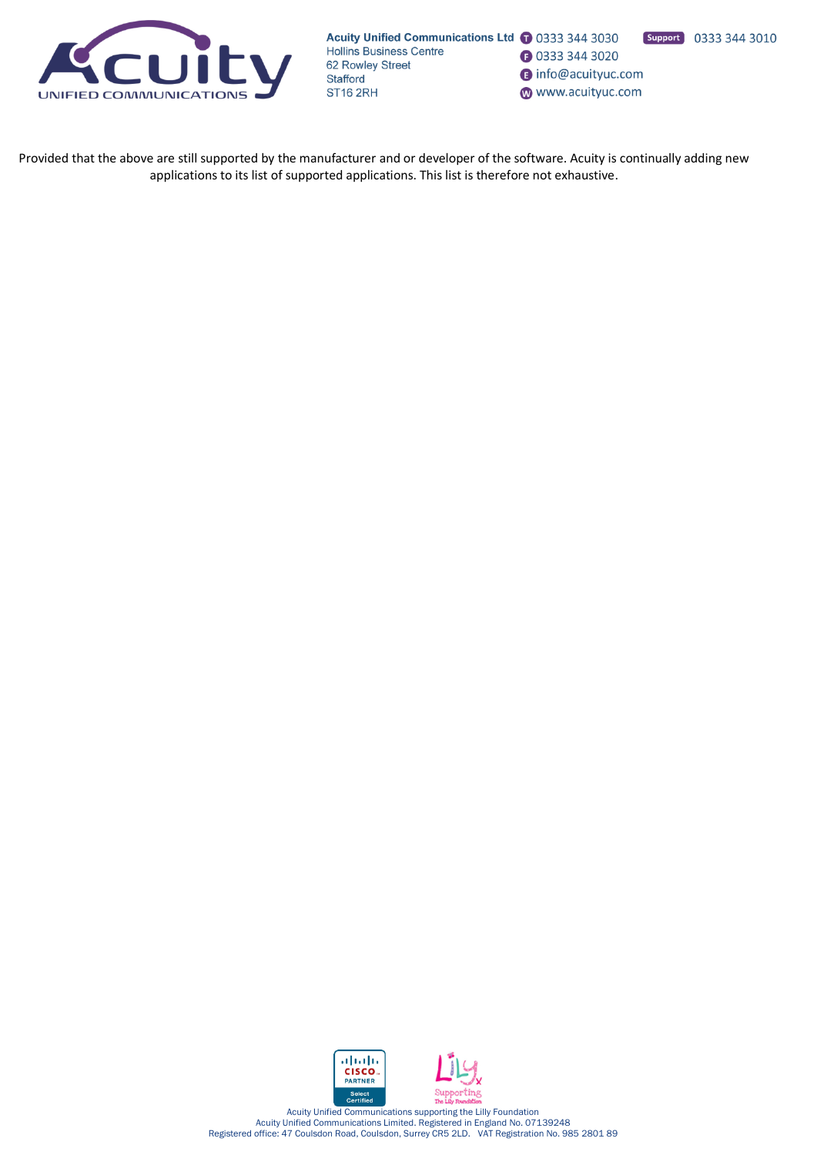

Support 0333 344 3010 **1** 0333 344 3020

nfo@acuityuc.com

www.acuityuc.com

Provided that the above are still supported by the manufacturer and or developer of the software. Acuity is continually adding new applications to its list of supported applications. This list is therefore not exhaustive.

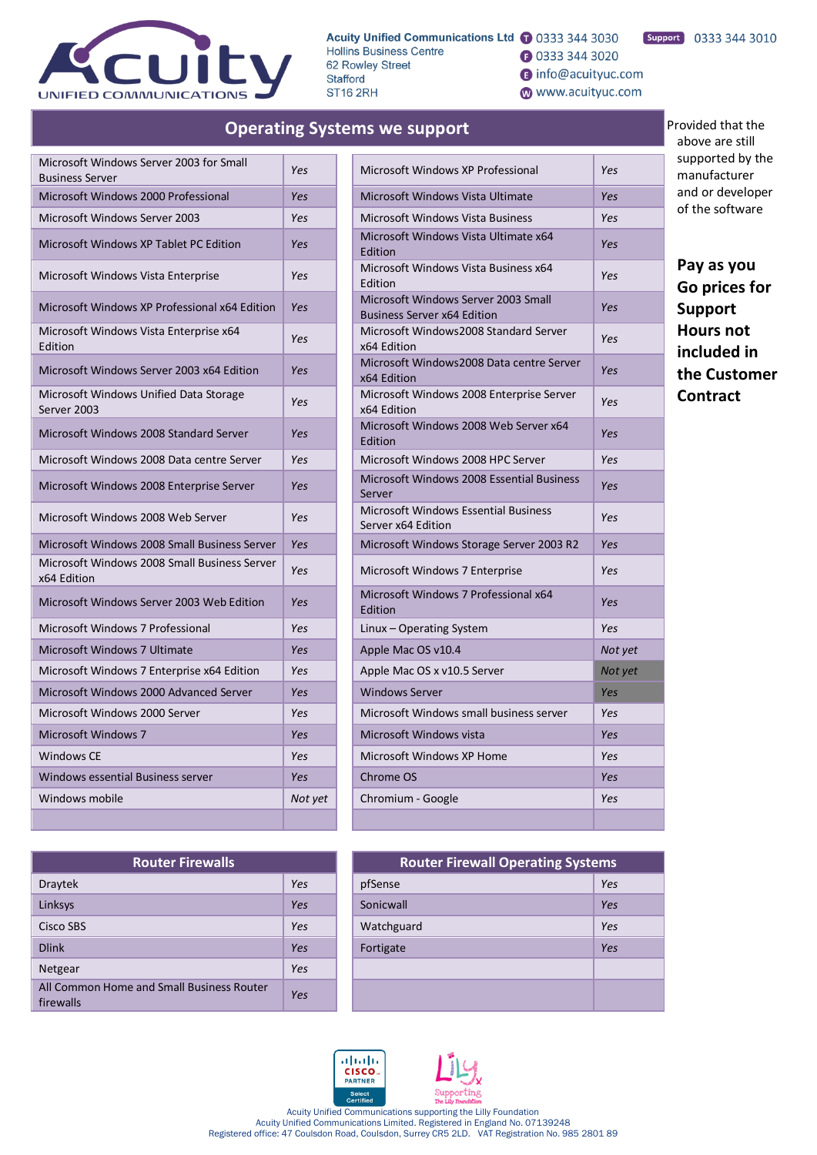

**Operating Systems we support**

**3** 0333 344 3020

nfo@acuityuc.com

www.acuityuc.com

# Support 0333 344 3010

Provided that the above are still supported by the manufacturer and or developer of the software

**Pay as you Go prices for Support Hours not included in the Customer Contract**

| Microsoft Windows Server 2003 for Small<br><b>Business Server</b> | Yes     | Microsoft Windows XP Professional                                         | Yes        |
|-------------------------------------------------------------------|---------|---------------------------------------------------------------------------|------------|
| Microsoft Windows 2000 Professional                               | Yes     | Microsoft Windows Vista Ultimate                                          | Yes        |
| <b>Microsoft Windows Server 2003</b>                              | Yes     | <b>Microsoft Windows Vista Business</b>                                   | Yes        |
| Microsoft Windows XP Tablet PC Edition                            | Yes     | Microsoft Windows Vista Ultimate x64<br>Edition                           | <b>Yes</b> |
| Microsoft Windows Vista Enterprise                                | Yes     | Microsoft Windows Vista Business x64<br>Edition                           | Yes        |
| Microsoft Windows XP Professional x64 Edition                     | Yes     | Microsoft Windows Server 2003 Small<br><b>Business Server x64 Edition</b> | Yes        |
| Microsoft Windows Vista Enterprise x64<br>Edition                 | Yes     | Microsoft Windows2008 Standard Server<br>x64 Edition                      | Yes        |
| Microsoft Windows Server 2003 x64 Edition                         | Yes     | Microsoft Windows2008 Data centre Server<br>x64 Edition                   | Yes        |
| Microsoft Windows Unified Data Storage<br>Server 2003             | Yes     | Microsoft Windows 2008 Enterprise Server<br>x64 Edition                   | Yes        |
| Microsoft Windows 2008 Standard Server                            | Yes     | Microsoft Windows 2008 Web Server x64<br>Edition                          | Yes        |
| Microsoft Windows 2008 Data centre Server                         | Yes     | Microsoft Windows 2008 HPC Server                                         | Yes        |
| Microsoft Windows 2008 Enterprise Server                          | Yes     | Microsoft Windows 2008 Essential Business<br>Server                       | Yes        |
| Microsoft Windows 2008 Web Server                                 | Yes     | <b>Microsoft Windows Essential Business</b><br>Server x64 Edition         | Yes        |
| Microsoft Windows 2008 Small Business Server                      | Yes     | Microsoft Windows Storage Server 2003 R2                                  | Yes        |
| Microsoft Windows 2008 Small Business Server<br>x64 Edition       | Yes     | Microsoft Windows 7 Enterprise                                            | Yes        |
| Microsoft Windows Server 2003 Web Edition                         | Yes     | Microsoft Windows 7 Professional x64<br>Edition                           | <b>Yes</b> |
| Microsoft Windows 7 Professional                                  | Yes     | Linux - Operating System                                                  | Yes        |
| Microsoft Windows 7 Ultimate                                      | Yes     | Apple Mac OS v10.4                                                        | Not yet    |
| Microsoft Windows 7 Enterprise x64 Edition                        | Yes     | Apple Mac OS x v10.5 Server                                               | Not yet    |
| Microsoft Windows 2000 Advanced Server                            | Yes     | <b>Windows Server</b>                                                     | <b>Yes</b> |
| Microsoft Windows 2000 Server                                     | Yes     | Microsoft Windows small business server                                   | Yes        |
| <b>Microsoft Windows 7</b>                                        | Yes     | Microsoft Windows vista                                                   | Yes        |
| Windows CE                                                        | Yes     | Microsoft Windows XP Home                                                 | Yes        |
| Windows essential Business server                                 | Yes     | Chrome OS                                                                 | Yes        |
| Windows mobile                                                    | Not yet | Chromium - Google                                                         | Yes        |
|                                                                   |         |                                                                           |            |

| <b>Router Firewalls</b>                                |     |  | <b>Router Firewall Operating Systems</b> |     |
|--------------------------------------------------------|-----|--|------------------------------------------|-----|
| <b>Draytek</b>                                         | Yes |  | pfSense                                  | Yes |
| Linksys                                                | Yes |  | Sonicwall                                | Yes |
| Cisco SBS                                              | Yes |  | Watchguard                               | Yes |
| <b>Dlink</b>                                           | Yes |  | Fortigate                                | Yes |
| Netgear                                                | Yes |  |                                          |     |
| All Common Home and Small Business Router<br>firewalls | Yes |  |                                          |     |

| Microsoft Windows XP Professional                                         | Yes     |
|---------------------------------------------------------------------------|---------|
| Microsoft Windows Vista Ultimate                                          | Yes     |
| Microsoft Windows Vista Business                                          | Yes     |
| Microsoft Windows Vista Ultimate x64<br>Edition                           | Yes     |
| Microsoft Windows Vista Business x64<br>Edition                           | Yes     |
| Microsoft Windows Server 2003 Small<br><b>Business Server x64 Edition</b> | Yes     |
| Microsoft Windows2008 Standard Server<br>x64 Edition                      | Yes     |
| Microsoft Windows2008 Data centre Server<br>x64 Edition                   | Yes     |
| Microsoft Windows 2008 Enterprise Server<br>x64 Edition                   | Yes     |
| Microsoft Windows 2008 Web Server x64<br>Edition                          | Yes     |
| Microsoft Windows 2008 HPC Server                                         | Yes     |
| Microsoft Windows 2008 Essential Business<br>Server                       | Yes     |
| Microsoft Windows Essential Business<br>Server x64 Edition                | Yes     |
| Microsoft Windows Storage Server 2003 R2                                  | Yes     |
| Microsoft Windows 7 Enterprise                                            | Yes     |
| Microsoft Windows 7 Professional x64<br>Edition                           | Yes     |
| Linux - Operating System                                                  | Yes     |
| Apple Mac OS v10.4                                                        | Not yet |
| Apple Mac OS x v10.5 Server                                               | Not yet |
| <b>Windows Server</b>                                                     | Yes     |
| Microsoft Windows small business server                                   | Yes     |
| Microsoft Windows vista                                                   | Yes     |
| Microsoft Windows XP Home                                                 | Yes     |
| Chrome OS                                                                 | Yes     |
| Chromium - Google                                                         | Yes     |
|                                                                           |         |

| <b>Router Firewalls</b>   |            | <b>Router Firewall Operating Systems</b> |     |
|---------------------------|------------|------------------------------------------|-----|
|                           | Yes        | pfSense                                  | Yes |
|                           | <b>Yes</b> | Sonicwall                                | Yes |
|                           | Yes        | Watchguard                               | Yes |
|                           | Yes        | Fortigate                                | Yes |
|                           | Yes        |                                          |     |
| and Small Business Router | Yes        |                                          |     |



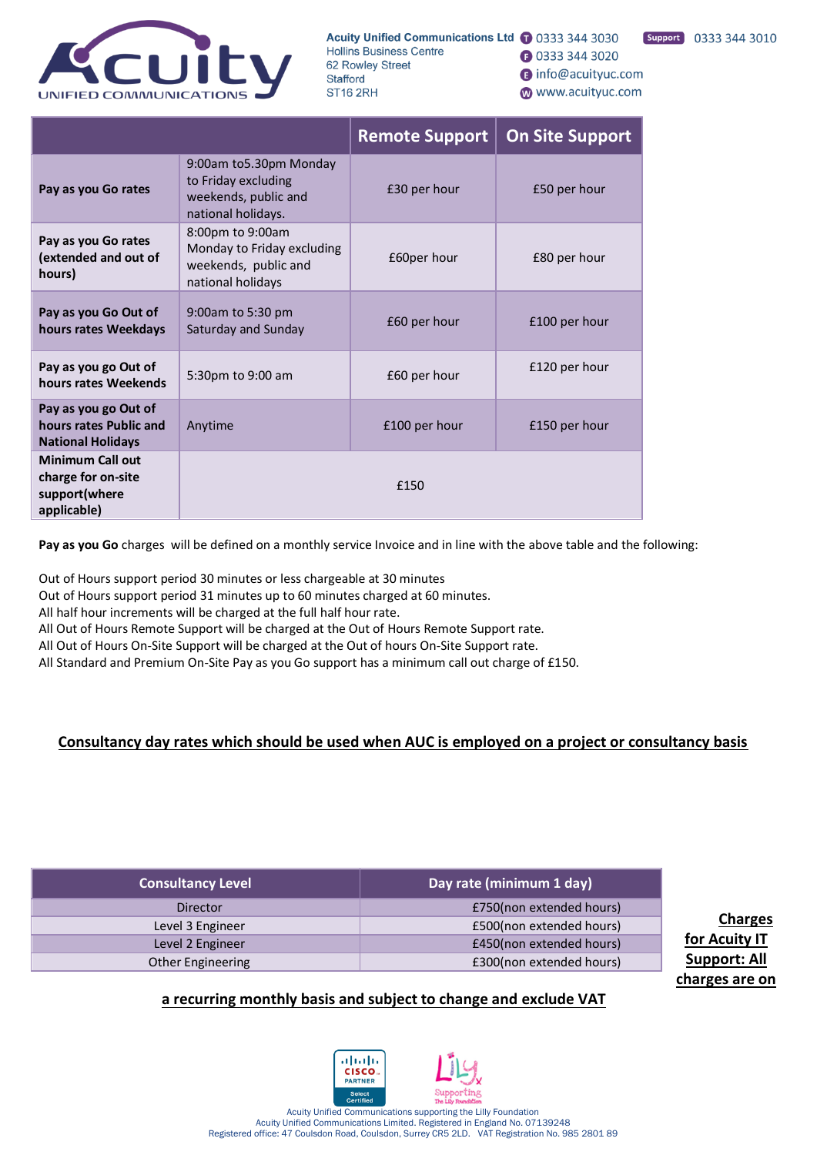

**1** 0333 344 3020

nfo@acuityuc.com

www.acuityuc.com

|                                                                               |                                                                                             | <b>Remote Support</b> | <b>On Site Support</b> |  |  |
|-------------------------------------------------------------------------------|---------------------------------------------------------------------------------------------|-----------------------|------------------------|--|--|
| Pay as you Go rates                                                           | 9:00am to5.30pm Monday<br>to Friday excluding<br>weekends, public and<br>national holidays. | £30 per hour          | £50 per hour           |  |  |
| Pay as you Go rates<br>(extended and out of<br>hours)                         | 8:00pm to 9:00am<br>Monday to Friday excluding<br>weekends, public and<br>national holidays | £60per hour           | £80 per hour           |  |  |
| Pay as you Go Out of<br>hours rates Weekdays                                  | 9:00am to 5:30 pm<br>Saturday and Sunday                                                    | £60 per hour          | £100 per hour          |  |  |
| Pay as you go Out of<br>hours rates Weekends                                  | 5:30pm to 9:00 am                                                                           | £60 per hour          | £120 per hour          |  |  |
| Pay as you go Out of<br>hours rates Public and<br><b>National Holidays</b>    | Anytime                                                                                     | £100 per hour         | £150 per hour          |  |  |
| <b>Minimum Call out</b><br>charge for on-site<br>support(where<br>applicable) | £150                                                                                        |                       |                        |  |  |

**Pay as you Go** charges will be defined on a monthly service Invoice and in line with the above table and the following:

Out of Hours support period 30 minutes or less chargeable at 30 minutes

Out of Hours support period 31 minutes up to 60 minutes charged at 60 minutes.

All half hour increments will be charged at the full half hour rate.

All Out of Hours Remote Support will be charged at the Out of Hours Remote Support rate.

All Out of Hours On-Site Support will be charged at the Out of hours On-Site Support rate.

All Standard and Premium On-Site Pay as you Go support has a minimum call out charge of £150.

# **Consultancy day rates which should be used when AUC is employed on a project or consultancy basis**

| <b>Consultancy Level</b> | Day rate (minimum 1 day) |
|--------------------------|--------------------------|
| Director                 | £750(non extended hours) |
| Level 3 Engineer         | £500(non extended hours) |
| Level 2 Engineer         | £450(non extended hours) |
| Other Engineering        | £300(non extended hours) |

**Charges for Acuity IT Support: All charges are on** 

# **a recurring monthly basis and subject to change and exclude VAT**